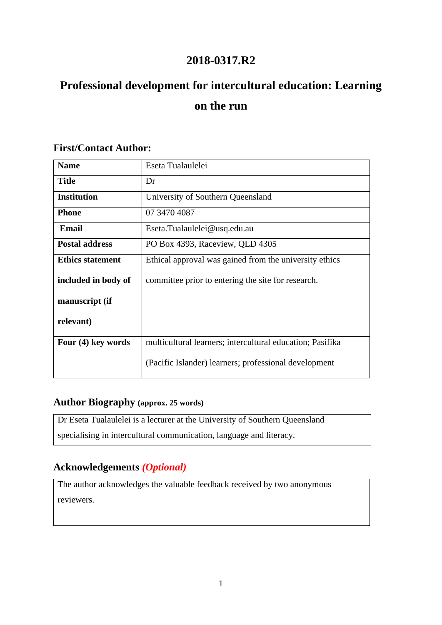# **2018-0317.R2**

# **Professional development for intercultural education: Learning on the run**

| <b>Name</b>             | Eseta Tualaulelei                                         |
|-------------------------|-----------------------------------------------------------|
| <b>Title</b>            | Dr                                                        |
| <b>Institution</b>      | University of Southern Queensland                         |
| <b>Phone</b>            | 07 3470 4087                                              |
| Email                   | Eseta.Tualaulelei@usq.edu.au                              |
| <b>Postal address</b>   | PO Box 4393, Raceview, QLD 4305                           |
| <b>Ethics statement</b> | Ethical approval was gained from the university ethics    |
| included in body of     | committee prior to entering the site for research.        |
| manuscript (if          |                                                           |
| relevant)               |                                                           |
| Four (4) key words      | multicultural learners; intercultural education; Pasifika |
|                         | (Pacific Islander) learners; professional development     |

## **First/Contact Author:**

## **Author Biography (approx. 25 words)**

Dr Eseta Tualaulelei is a lecturer at the University of Southern Queensland specialising in intercultural communication, language and literacy.

# **Acknowledgements** *(Optional)*

The author acknowledges the valuable feedback received by two anonymous reviewers.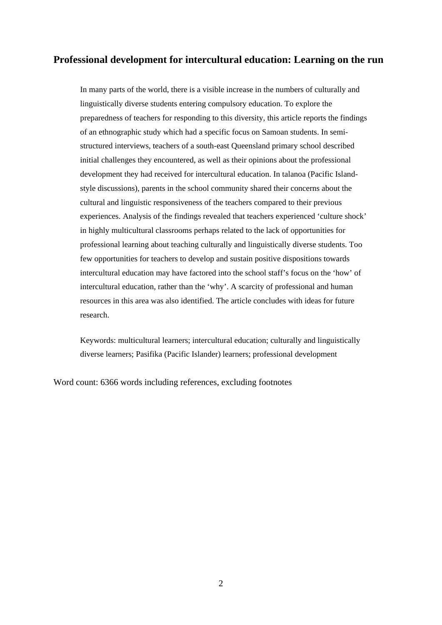## **Professional development for intercultural education: Learning on the run**

In many parts of the world, there is a visible increase in the numbers of culturally and linguistically diverse students entering compulsory education. To explore the preparedness of teachers for responding to this diversity, this article reports the findings of an ethnographic study which had a specific focus on Samoan students. In semistructured interviews, teachers of a south-east Queensland primary school described initial challenges they encountered, as well as their opinions about the professional development they had received for intercultural education. In talanoa (Pacific Islandstyle discussions), parents in the school community shared their concerns about the cultural and linguistic responsiveness of the teachers compared to their previous experiences. Analysis of the findings revealed that teachers experienced 'culture shock' in highly multicultural classrooms perhaps related to the lack of opportunities for professional learning about teaching culturally and linguistically diverse students. Too few opportunities for teachers to develop and sustain positive dispositions towards intercultural education may have factored into the school staff's focus on the 'how' of intercultural education, rather than the 'why'. A scarcity of professional and human resources in this area was also identified. The article concludes with ideas for future research.

Keywords: multicultural learners; intercultural education; culturally and linguistically diverse learners; Pasifika (Pacific Islander) learners; professional development

Word count: 6366 words including references, excluding footnotes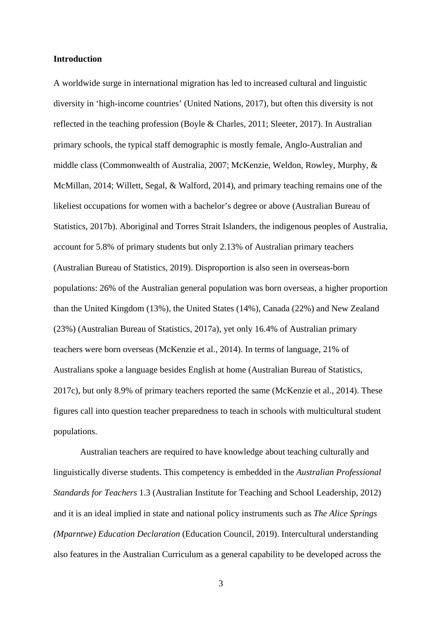#### **Introduction**

A worldwide surge in international migration has led to increased cultural and linguistic diversity in 'high-income countries' (United Nations, 2017), but often this diversity is not reflected in the teaching profession (Boyle & Charles, 2011; Sleeter, 2017). In Australian primary schools, the typical staff demographic is mostly female, Anglo-Australian and middle class (Commonwealth of Australia, 2007; McKenzie, Weldon, Rowley, Murphy, & McMillan, 2014; Willett, Segal, & Walford, 2014), and primary teaching remains one of the likeliest occupations for women with a bachelor's degree or above (Australian Bureau of Statistics, 2017b). Aboriginal and Torres Strait Islanders, the indigenous peoples of Australia, account for 5.8% of primary students but only 2.13% of Australian primary teachers (Australian Bureau of Statistics, 2019). Disproportion is also seen in overseas-born populations: 26% of the Australian general population was born overseas, a higher proportion than the United Kingdom (13%), the United States (14%), Canada (22%) and New Zealand (23%) (Australian Bureau of Statistics, 2017a), yet only 16.4% of Australian primary teachers were born overseas (McKenzie et al., 2014). In terms of language, 21% of Australians spoke a language besides English at home (Australian Bureau of Statistics, 2017c), but only 8.9% of primary teachers reported the same (McKenzie et al., 2014). These figures call into question teacher preparedness to teach in schools with multicultural student populations.

Australian teachers are required to have knowledge about teaching culturally and linguistically diverse students. This competency is embedded in the *Australian Professional Standards for Teachers* 1.3 (Australian Institute for Teaching and School Leadership, 2012) and it is an ideal implied in state and national policy instruments such as *The Alice Springs (Mparntwe) Education Declaration* (Education Council, 2019). Intercultural understanding also features in the Australian Curriculum as a general capability to be developed across the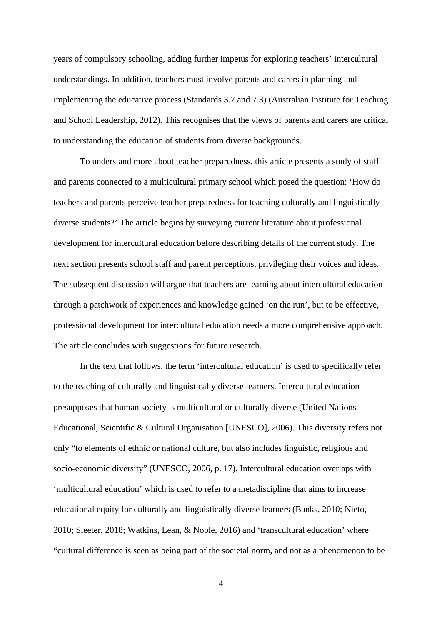years of compulsory schooling, adding further impetus for exploring teachers' intercultural understandings. In addition, teachers must involve parents and carers in planning and implementing the educative process (Standards 3.7 and 7.3) (Australian Institute for Teaching and School Leadership, 2012). This recognises that the views of parents and carers are critical to understanding the education of students from diverse backgrounds.

To understand more about teacher preparedness, this article presents a study of staff and parents connected to a multicultural primary school which posed the question: 'How do teachers and parents perceive teacher preparedness for teaching culturally and linguistically diverse students?' The article begins by surveying current literature about professional development for intercultural education before describing details of the current study. The next section presents school staff and parent perceptions, privileging their voices and ideas. The subsequent discussion will argue that teachers are learning about intercultural education through a patchwork of experiences and knowledge gained 'on the run', but to be effective, professional development for intercultural education needs a more comprehensive approach. The article concludes with suggestions for future research.

In the text that follows, the term 'intercultural education' is used to specifically refer to the teaching of culturally and linguistically diverse learners. Intercultural education presupposes that human society is multicultural or culturally diverse (United Nations Educational, Scientific & Cultural Organisation [UNESCO], 2006). This diversity refers not only "to elements of ethnic or national culture, but also includes linguistic, religious and socio-economic diversity" (UNESCO, 2006, p. 17). Intercultural education overlaps with 'multicultural education' which is used to refer to a metadiscipline that aims to increase educational equity for culturally and linguistically diverse learners (Banks, 2010; Nieto, 2010; Sleeter, 2018; Watkins, Lean, & Noble, 2016) and 'transcultural education' where "cultural difference is seen as being part of the societal norm, and not as a phenomenon to be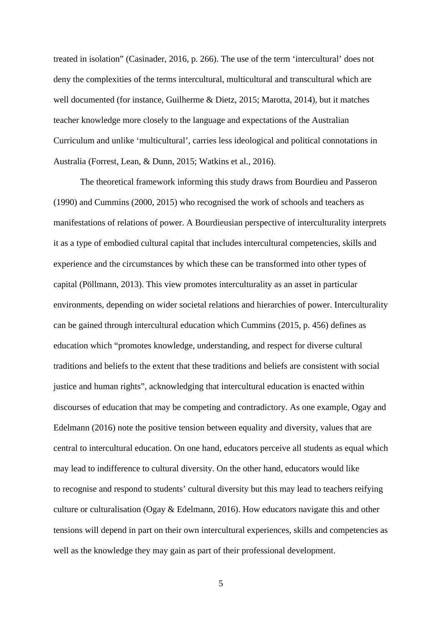treated in isolation" (Casinader, 2016, p. 266). The use of the term 'intercultural' does not deny the complexities of the terms intercultural, multicultural and transcultural which are well documented (for instance, Guilherme & Dietz, 2015; Marotta, 2014), but it matches teacher knowledge more closely to the language and expectations of the Australian Curriculum and unlike 'multicultural', carries less ideological and political connotations in Australia (Forrest, Lean, & Dunn, 2015; Watkins et al., 2016).

The theoretical framework informing this study draws from Bourdieu and Passeron (1990) and Cummins (2000, 2015) who recognised the work of schools and teachers as manifestations of relations of power. A Bourdieusian perspective of interculturality interprets it as a type of embodied cultural capital that includes intercultural competencies, skills and experience and the circumstances by which these can be transformed into other types of capital (Pöllmann, 2013). This view promotes interculturality as an asset in particular environments, depending on wider societal relations and hierarchies of power. Interculturality can be gained through intercultural education which Cummins (2015, p. 456) defines as education which "promotes knowledge, understanding, and respect for diverse cultural traditions and beliefs to the extent that these traditions and beliefs are consistent with social justice and human rights", acknowledging that intercultural education is enacted within discourses of education that may be competing and contradictory. As one example, Ogay and Edelmann (2016) note the positive tension between equality and diversity, values that are central to intercultural education. On one hand, educators perceive all students as equal which may lead to indifference to cultural diversity. On the other hand, educators would like to recognise and respond to students' cultural diversity but this may lead to teachers reifying culture or culturalisation (Ogay & Edelmann, 2016). How educators navigate this and other tensions will depend in part on their own intercultural experiences, skills and competencies as well as the knowledge they may gain as part of their professional development.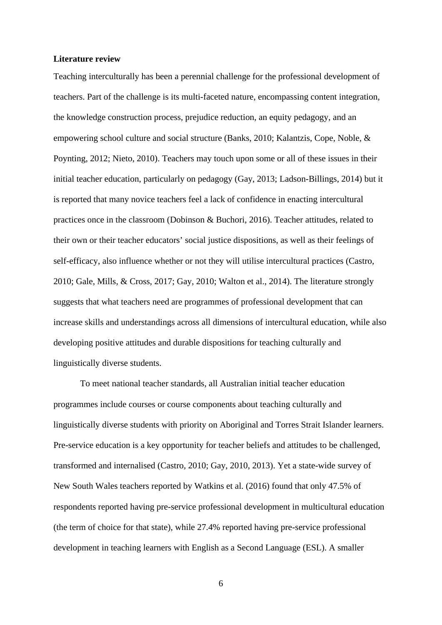#### **Literature review**

Teaching interculturally has been a perennial challenge for the professional development of teachers. Part of the challenge is its multi-faceted nature, encompassing content integration, the knowledge construction process, prejudice reduction, an equity pedagogy, and an empowering school culture and social structure (Banks, 2010; Kalantzis, Cope, Noble, & Poynting, 2012; Nieto, 2010). Teachers may touch upon some or all of these issues in their initial teacher education, particularly on pedagogy (Gay, 2013; Ladson-Billings, 2014) but it is reported that many novice teachers feel a lack of confidence in enacting intercultural practices once in the classroom (Dobinson & Buchori, 2016). Teacher attitudes, related to their own or their teacher educators' social justice dispositions, as well as their feelings of self-efficacy, also influence whether or not they will utilise intercultural practices (Castro, 2010; Gale, Mills, & Cross, 2017; Gay, 2010; Walton et al., 2014). The literature strongly suggests that what teachers need are programmes of professional development that can increase skills and understandings across all dimensions of intercultural education, while also developing positive attitudes and durable dispositions for teaching culturally and linguistically diverse students.

To meet national teacher standards, all Australian initial teacher education programmes include courses or course components about teaching culturally and linguistically diverse students with priority on Aboriginal and Torres Strait Islander learners. Pre-service education is a key opportunity for teacher beliefs and attitudes to be challenged, transformed and internalised (Castro, 2010; Gay, 2010, 2013). Yet a state-wide survey of New South Wales teachers reported by Watkins et al. (2016) found that only 47.5% of respondents reported having pre-service professional development in multicultural education (the term of choice for that state), while 27.4% reported having pre-service professional development in teaching learners with English as a Second Language (ESL). A smaller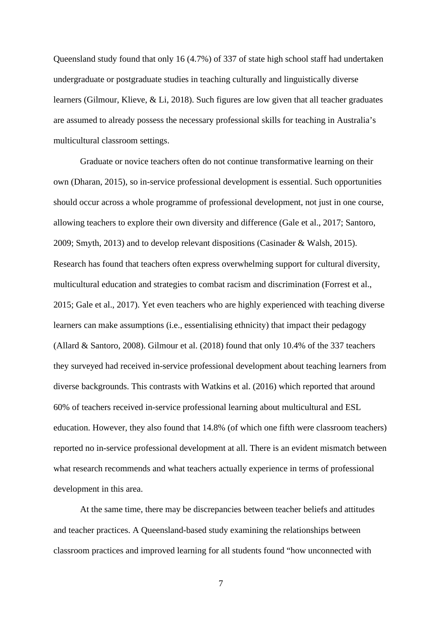Queensland study found that only 16 (4.7%) of 337 of state high school staff had undertaken undergraduate or postgraduate studies in teaching culturally and linguistically diverse learners (Gilmour, Klieve, & Li, 2018). Such figures are low given that all teacher graduates are assumed to already possess the necessary professional skills for teaching in Australia's multicultural classroom settings.

Graduate or novice teachers often do not continue transformative learning on their own (Dharan, 2015), so in-service professional development is essential. Such opportunities should occur across a whole programme of professional development, not just in one course, allowing teachers to explore their own diversity and difference (Gale et al., 2017; Santoro, 2009; Smyth, 2013) and to develop relevant dispositions (Casinader & Walsh, 2015). Research has found that teachers often express overwhelming support for cultural diversity, multicultural education and strategies to combat racism and discrimination (Forrest et al., 2015; Gale et al., 2017). Yet even teachers who are highly experienced with teaching diverse learners can make assumptions (i.e., essentialising ethnicity) that impact their pedagogy (Allard & Santoro, 2008). Gilmour et al. (2018) found that only 10.4% of the 337 teachers they surveyed had received in-service professional development about teaching learners from diverse backgrounds. This contrasts with Watkins et al. (2016) which reported that around 60% of teachers received in-service professional learning about multicultural and ESL education. However, they also found that 14.8% (of which one fifth were classroom teachers) reported no in-service professional development at all. There is an evident mismatch between what research recommends and what teachers actually experience in terms of professional development in this area.

At the same time, there may be discrepancies between teacher beliefs and attitudes and teacher practices. A Queensland-based study examining the relationships between classroom practices and improved learning for all students found "how unconnected with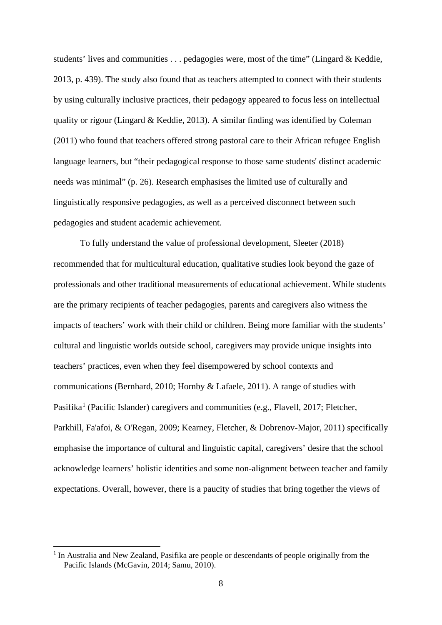students' lives and communities . . . pedagogies were, most of the time" (Lingard & Keddie, 2013, p. 439). The study also found that as teachers attempted to connect with their students by using culturally inclusive practices, their pedagogy appeared to focus less on intellectual quality or rigour (Lingard & Keddie, 2013). A similar finding was identified by Coleman (2011) who found that teachers offered strong pastoral care to their African refugee English language learners, but "their pedagogical response to those same students' distinct academic needs was minimal" (p. 26). Research emphasises the limited use of culturally and linguistically responsive pedagogies, as well as a perceived disconnect between such pedagogies and student academic achievement.

To fully understand the value of professional development, Sleeter (2018) recommended that for multicultural education, qualitative studies look beyond the gaze of professionals and other traditional measurements of educational achievement. While students are the primary recipients of teacher pedagogies, parents and caregivers also witness the impacts of teachers' work with their child or children. Being more familiar with the students' cultural and linguistic worlds outside school, caregivers may provide unique insights into teachers' practices, even when they feel disempowered by school contexts and communications (Bernhard, 2010; Hornby & Lafaele, 2011). A range of studies with Pasifika<sup>[1](#page-7-0)</sup> (Pacific Islander) caregivers and communities (e.g., Flavell, 2017; Fletcher, Parkhill, Fa'afoi, & O'Regan, 2009; Kearney, Fletcher, & Dobrenov-Major, 2011) specifically emphasise the importance of cultural and linguistic capital, caregivers' desire that the school acknowledge learners' holistic identities and some non-alignment between teacher and family expectations. Overall, however, there is a paucity of studies that bring together the views of

<span id="page-7-0"></span><sup>&</sup>lt;sup>1</sup> In Australia and New Zealand, Pasifika are people or descendants of people originally from the Pacific Islands (McGavin, 2014; Samu, 2010).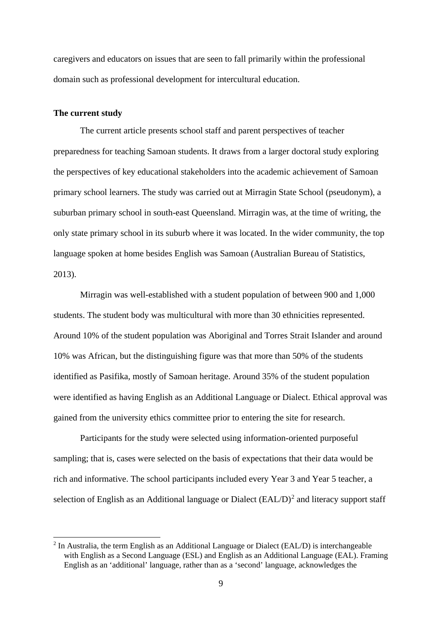caregivers and educators on issues that are seen to fall primarily within the professional domain such as professional development for intercultural education.

### **The current study**

The current article presents school staff and parent perspectives of teacher preparedness for teaching Samoan students. It draws from a larger doctoral study exploring the perspectives of key educational stakeholders into the academic achievement of Samoan primary school learners. The study was carried out at Mirragin State School (pseudonym), a suburban primary school in south-east Queensland. Mirragin was, at the time of writing, the only state primary school in its suburb where it was located. In the wider community, the top language spoken at home besides English was Samoan (Australian Bureau of Statistics, 2013).

Mirragin was well-established with a student population of between 900 and 1,000 students. The student body was multicultural with more than 30 ethnicities represented. Around 10% of the student population was Aboriginal and Torres Strait Islander and around 10% was African, but the distinguishing figure was that more than 50% of the students identified as Pasifika, mostly of Samoan heritage. Around 35% of the student population were identified as having English as an Additional Language or Dialect. Ethical approval was gained from the university ethics committee prior to entering the site for research.

Participants for the study were selected using information-oriented purposeful sampling; that is, cases were selected on the basis of expectations that their data would be rich and informative. The school participants included every Year 3 and Year 5 teacher, a selection of English as an Additional language or Dialect  $(EAL/D)^2$  $(EAL/D)^2$  and literacy support staff

<span id="page-8-0"></span><sup>&</sup>lt;sup>2</sup> In Australia, the term English as an Additional Language or Dialect (EAL/D) is interchangeable with English as a Second Language (ESL) and English as an Additional Language (EAL). Framing English as an 'additional' language, rather than as a 'second' language, acknowledges the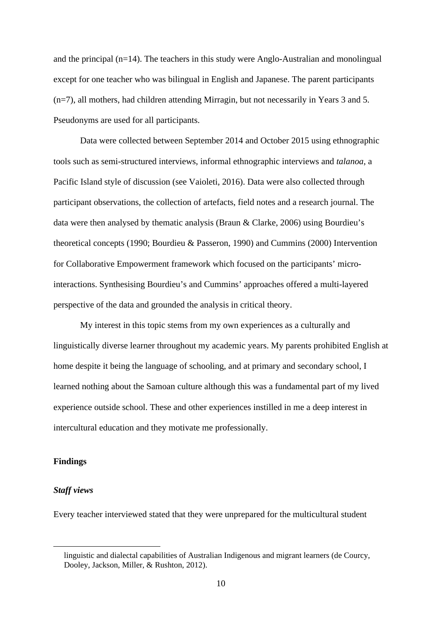and the principal (n=14). The teachers in this study were Anglo-Australian and monolingual except for one teacher who was bilingual in English and Japanese. The parent participants (n=7), all mothers, had children attending Mirragin, but not necessarily in Years 3 and 5. Pseudonyms are used for all participants.

Data were collected between September 2014 and October 2015 using ethnographic tools such as semi-structured interviews, informal ethnographic interviews and *talanoa*, a Pacific Island style of discussion (see Vaioleti, 2016). Data were also collected through participant observations, the collection of artefacts, field notes and a research journal. The data were then analysed by thematic analysis (Braun & Clarke, 2006) using Bourdieu's theoretical concepts (1990; Bourdieu & Passeron, 1990) and Cummins (2000) Intervention for Collaborative Empowerment framework which focused on the participants' microinteractions. Synthesising Bourdieu's and Cummins' approaches offered a multi-layered perspective of the data and grounded the analysis in critical theory.

My interest in this topic stems from my own experiences as a culturally and linguistically diverse learner throughout my academic years. My parents prohibited English at home despite it being the language of schooling, and at primary and secondary school, I learned nothing about the Samoan culture although this was a fundamental part of my lived experience outside school. These and other experiences instilled in me a deep interest in intercultural education and they motivate me professionally.

#### **Findings**

#### *Staff views*

Every teacher interviewed stated that they were unprepared for the multicultural student

linguistic and dialectal capabilities of Australian Indigenous and migrant learners (de Courcy, Dooley, Jackson, Miller, & Rushton, 2012).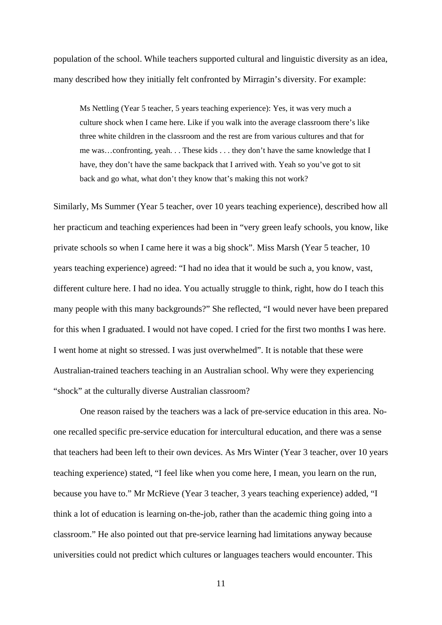population of the school. While teachers supported cultural and linguistic diversity as an idea, many described how they initially felt confronted by Mirragin's diversity. For example:

Ms Nettling (Year 5 teacher, 5 years teaching experience): Yes, it was very much a culture shock when I came here. Like if you walk into the average classroom there's like three white children in the classroom and the rest are from various cultures and that for me was…confronting, yeah. . . These kids . . . they don't have the same knowledge that I have, they don't have the same backpack that I arrived with. Yeah so you've got to sit back and go what, what don't they know that's making this not work?

Similarly, Ms Summer (Year 5 teacher, over 10 years teaching experience), described how all her practicum and teaching experiences had been in "very green leafy schools, you know, like private schools so when I came here it was a big shock". Miss Marsh (Year 5 teacher, 10 years teaching experience) agreed: "I had no idea that it would be such a, you know, vast, different culture here. I had no idea. You actually struggle to think, right, how do I teach this many people with this many backgrounds?" She reflected, "I would never have been prepared for this when I graduated. I would not have coped. I cried for the first two months I was here. I went home at night so stressed. I was just overwhelmed". It is notable that these were Australian-trained teachers teaching in an Australian school. Why were they experiencing "shock" at the culturally diverse Australian classroom?

One reason raised by the teachers was a lack of pre-service education in this area. Noone recalled specific pre-service education for intercultural education, and there was a sense that teachers had been left to their own devices. As Mrs Winter (Year 3 teacher, over 10 years teaching experience) stated, "I feel like when you come here, I mean, you learn on the run, because you have to." Mr McRieve (Year 3 teacher, 3 years teaching experience) added, "I think a lot of education is learning on-the-job, rather than the academic thing going into a classroom." He also pointed out that pre-service learning had limitations anyway because universities could not predict which cultures or languages teachers would encounter. This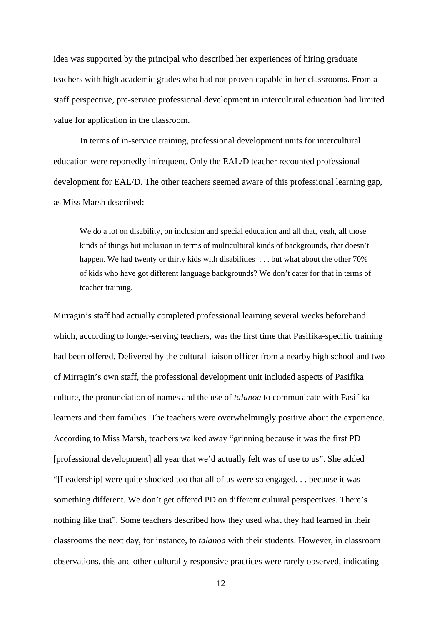idea was supported by the principal who described her experiences of hiring graduate teachers with high academic grades who had not proven capable in her classrooms. From a staff perspective, pre-service professional development in intercultural education had limited value for application in the classroom.

In terms of in-service training, professional development units for intercultural education were reportedly infrequent. Only the EAL/D teacher recounted professional development for EAL/D. The other teachers seemed aware of this professional learning gap, as Miss Marsh described:

We do a lot on disability, on inclusion and special education and all that, yeah, all those kinds of things but inclusion in terms of multicultural kinds of backgrounds, that doesn't happen. We had twenty or thirty kids with disabilities . . . but what about the other 70% of kids who have got different language backgrounds? We don't cater for that in terms of teacher training.

Mirragin's staff had actually completed professional learning several weeks beforehand which, according to longer-serving teachers, was the first time that Pasifika-specific training had been offered. Delivered by the cultural liaison officer from a nearby high school and two of Mirragin's own staff, the professional development unit included aspects of Pasifika culture, the pronunciation of names and the use of *talanoa* to communicate with Pasifika learners and their families. The teachers were overwhelmingly positive about the experience. According to Miss Marsh, teachers walked away "grinning because it was the first PD [professional development] all year that we'd actually felt was of use to us". She added "[Leadership] were quite shocked too that all of us were so engaged. . . because it was something different. We don't get offered PD on different cultural perspectives. There's nothing like that". Some teachers described how they used what they had learned in their classrooms the next day, for instance, to *talanoa* with their students. However, in classroom observations, this and other culturally responsive practices were rarely observed, indicating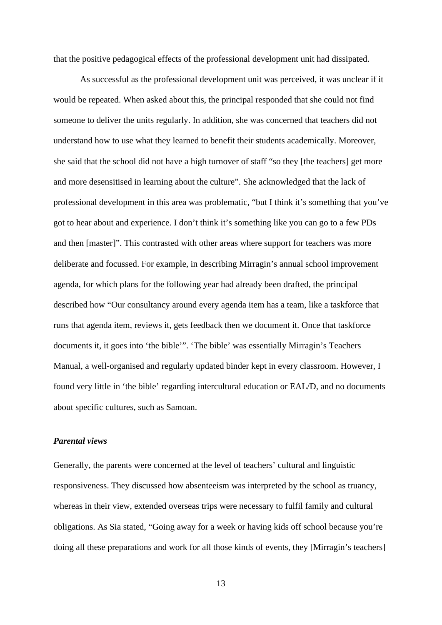that the positive pedagogical effects of the professional development unit had dissipated.

As successful as the professional development unit was perceived, it was unclear if it would be repeated. When asked about this, the principal responded that she could not find someone to deliver the units regularly. In addition, she was concerned that teachers did not understand how to use what they learned to benefit their students academically. Moreover, she said that the school did not have a high turnover of staff "so they [the teachers] get more and more desensitised in learning about the culture". She acknowledged that the lack of professional development in this area was problematic, "but I think it's something that you've got to hear about and experience. I don't think it's something like you can go to a few PDs and then [master]". This contrasted with other areas where support for teachers was more deliberate and focussed. For example, in describing Mirragin's annual school improvement agenda, for which plans for the following year had already been drafted, the principal described how "Our consultancy around every agenda item has a team, like a taskforce that runs that agenda item, reviews it, gets feedback then we document it. Once that taskforce documents it, it goes into 'the bible'". 'The bible' was essentially Mirragin's Teachers Manual, a well-organised and regularly updated binder kept in every classroom. However, I found very little in 'the bible' regarding intercultural education or EAL/D, and no documents about specific cultures, such as Samoan.

#### *Parental views*

Generally, the parents were concerned at the level of teachers' cultural and linguistic responsiveness. They discussed how absenteeism was interpreted by the school as truancy, whereas in their view, extended overseas trips were necessary to fulfil family and cultural obligations. As Sia stated, "Going away for a week or having kids off school because you're doing all these preparations and work for all those kinds of events, they [Mirragin's teachers]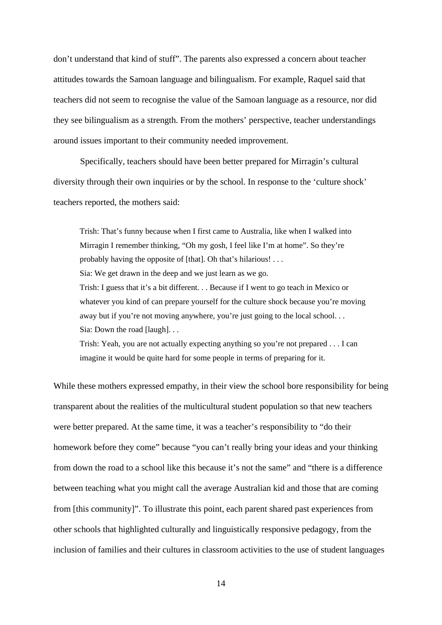don't understand that kind of stuff". The parents also expressed a concern about teacher attitudes towards the Samoan language and bilingualism. For example, Raquel said that teachers did not seem to recognise the value of the Samoan language as a resource, nor did they see bilingualism as a strength. From the mothers' perspective, teacher understandings around issues important to their community needed improvement.

Specifically, teachers should have been better prepared for Mirragin's cultural diversity through their own inquiries or by the school. In response to the 'culture shock' teachers reported, the mothers said:

Trish: That's funny because when I first came to Australia, like when I walked into Mirragin I remember thinking, "Oh my gosh, I feel like I'm at home". So they're probably having the opposite of [that]. Oh that's hilarious! . . . Sia: We get drawn in the deep and we just learn as we go. Trish: I guess that it's a bit different. . . Because if I went to go teach in Mexico or whatever you kind of can prepare yourself for the culture shock because you're moving away but if you're not moving anywhere, you're just going to the local school... Sia: Down the road [laugh]...

Trish: Yeah, you are not actually expecting anything so you're not prepared . . . I can imagine it would be quite hard for some people in terms of preparing for it.

While these mothers expressed empathy, in their view the school bore responsibility for being transparent about the realities of the multicultural student population so that new teachers were better prepared. At the same time, it was a teacher's responsibility to "do their homework before they come" because "you can't really bring your ideas and your thinking from down the road to a school like this because it's not the same" and "there is a difference between teaching what you might call the average Australian kid and those that are coming from [this community]". To illustrate this point, each parent shared past experiences from other schools that highlighted culturally and linguistically responsive pedagogy, from the inclusion of families and their cultures in classroom activities to the use of student languages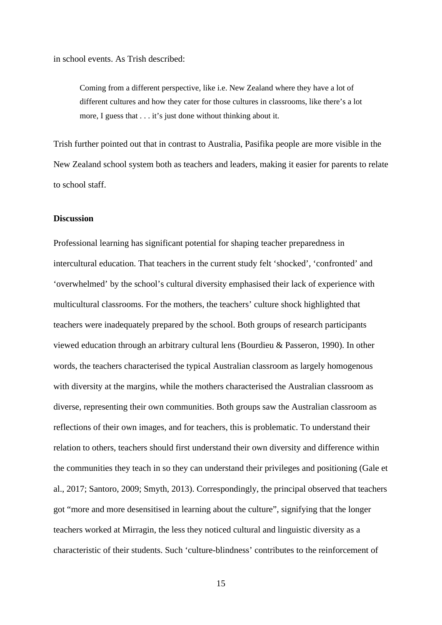in school events. As Trish described:

Coming from a different perspective, like i.e. New Zealand where they have a lot of different cultures and how they cater for those cultures in classrooms, like there's a lot more, I guess that . . . it's just done without thinking about it.

Trish further pointed out that in contrast to Australia, Pasifika people are more visible in the New Zealand school system both as teachers and leaders, making it easier for parents to relate to school staff.

#### **Discussion**

Professional learning has significant potential for shaping teacher preparedness in intercultural education. That teachers in the current study felt 'shocked', 'confronted' and 'overwhelmed' by the school's cultural diversity emphasised their lack of experience with multicultural classrooms. For the mothers, the teachers' culture shock highlighted that teachers were inadequately prepared by the school. Both groups of research participants viewed education through an arbitrary cultural lens (Bourdieu & Passeron, 1990). In other words, the teachers characterised the typical Australian classroom as largely homogenous with diversity at the margins, while the mothers characterised the Australian classroom as diverse, representing their own communities. Both groups saw the Australian classroom as reflections of their own images, and for teachers, this is problematic. To understand their relation to others, teachers should first understand their own diversity and difference within the communities they teach in so they can understand their privileges and positioning (Gale et al., 2017; Santoro, 2009; Smyth, 2013). Correspondingly, the principal observed that teachers got "more and more desensitised in learning about the culture", signifying that the longer teachers worked at Mirragin, the less they noticed cultural and linguistic diversity as a characteristic of their students. Such 'culture-blindness' contributes to the reinforcement of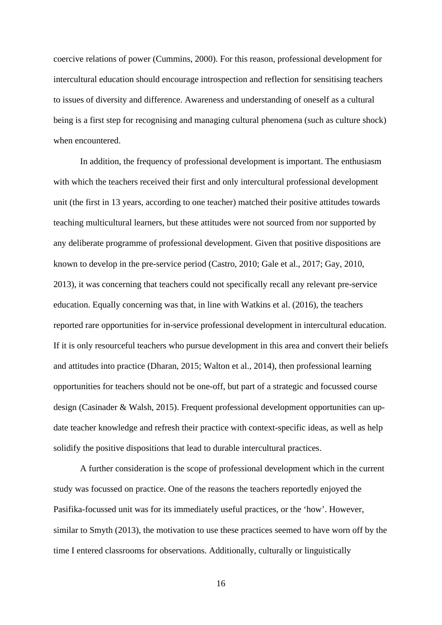coercive relations of power (Cummins, 2000). For this reason, professional development for intercultural education should encourage introspection and reflection for sensitising teachers to issues of diversity and difference. Awareness and understanding of oneself as a cultural being is a first step for recognising and managing cultural phenomena (such as culture shock) when encountered.

In addition, the frequency of professional development is important. The enthusiasm with which the teachers received their first and only intercultural professional development unit (the first in 13 years, according to one teacher) matched their positive attitudes towards teaching multicultural learners, but these attitudes were not sourced from nor supported by any deliberate programme of professional development. Given that positive dispositions are known to develop in the pre-service period (Castro, 2010; Gale et al., 2017; Gay, 2010, 2013), it was concerning that teachers could not specifically recall any relevant pre-service education. Equally concerning was that, in line with Watkins et al. (2016), the teachers reported rare opportunities for in-service professional development in intercultural education. If it is only resourceful teachers who pursue development in this area and convert their beliefs and attitudes into practice (Dharan, 2015; Walton et al., 2014), then professional learning opportunities for teachers should not be one-off, but part of a strategic and focussed course design (Casinader & Walsh, 2015). Frequent professional development opportunities can update teacher knowledge and refresh their practice with context-specific ideas, as well as help solidify the positive dispositions that lead to durable intercultural practices.

A further consideration is the scope of professional development which in the current study was focussed on practice. One of the reasons the teachers reportedly enjoyed the Pasifika-focussed unit was for its immediately useful practices, or the 'how'. However, similar to Smyth (2013), the motivation to use these practices seemed to have worn off by the time I entered classrooms for observations. Additionally, culturally or linguistically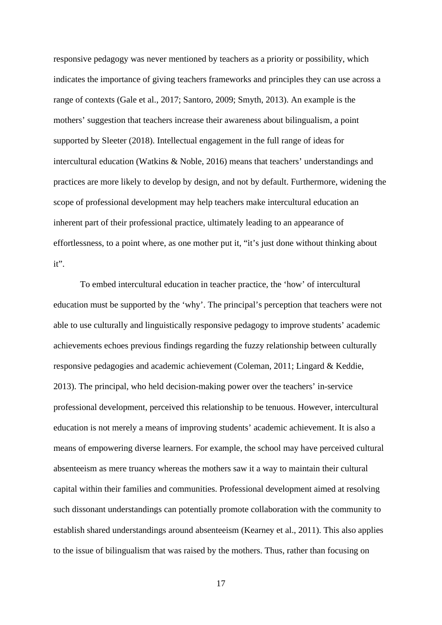responsive pedagogy was never mentioned by teachers as a priority or possibility, which indicates the importance of giving teachers frameworks and principles they can use across a range of contexts (Gale et al., 2017; Santoro, 2009; Smyth, 2013). An example is the mothers' suggestion that teachers increase their awareness about bilingualism, a point supported by Sleeter (2018). Intellectual engagement in the full range of ideas for intercultural education (Watkins & Noble, 2016) means that teachers' understandings and practices are more likely to develop by design, and not by default. Furthermore, widening the scope of professional development may help teachers make intercultural education an inherent part of their professional practice, ultimately leading to an appearance of effortlessness, to a point where, as one mother put it, "it's just done without thinking about it".

To embed intercultural education in teacher practice, the 'how' of intercultural education must be supported by the 'why'. The principal's perception that teachers were not able to use culturally and linguistically responsive pedagogy to improve students' academic achievements echoes previous findings regarding the fuzzy relationship between culturally responsive pedagogies and academic achievement (Coleman, 2011; Lingard & Keddie, 2013). The principal, who held decision-making power over the teachers' in-service professional development, perceived this relationship to be tenuous. However, intercultural education is not merely a means of improving students' academic achievement. It is also a means of empowering diverse learners. For example, the school may have perceived cultural absenteeism as mere truancy whereas the mothers saw it a way to maintain their cultural capital within their families and communities. Professional development aimed at resolving such dissonant understandings can potentially promote collaboration with the community to establish shared understandings around absenteeism (Kearney et al., 2011). This also applies to the issue of bilingualism that was raised by the mothers. Thus, rather than focusing on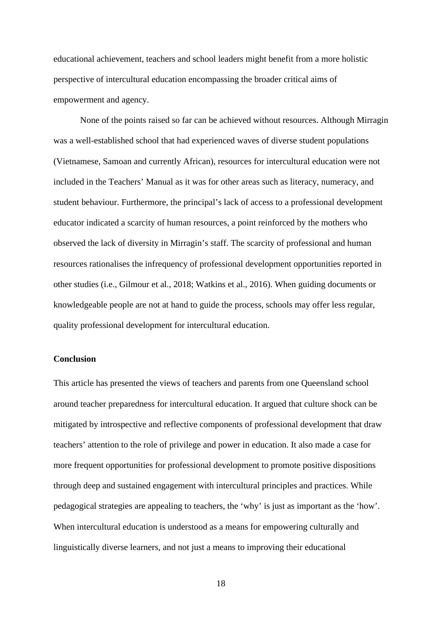educational achievement, teachers and school leaders might benefit from a more holistic perspective of intercultural education encompassing the broader critical aims of empowerment and agency.

None of the points raised so far can be achieved without resources. Although Mirragin was a well-established school that had experienced waves of diverse student populations (Vietnamese, Samoan and currently African), resources for intercultural education were not included in the Teachers' Manual as it was for other areas such as literacy, numeracy, and student behaviour. Furthermore, the principal's lack of access to a professional development educator indicated a scarcity of human resources, a point reinforced by the mothers who observed the lack of diversity in Mirragin's staff. The scarcity of professional and human resources rationalises the infrequency of professional development opportunities reported in other studies (i.e., Gilmour et al., 2018; Watkins et al., 2016). When guiding documents or knowledgeable people are not at hand to guide the process, schools may offer less regular, quality professional development for intercultural education.

#### **Conclusion**

This article has presented the views of teachers and parents from one Queensland school around teacher preparedness for intercultural education. It argued that culture shock can be mitigated by introspective and reflective components of professional development that draw teachers' attention to the role of privilege and power in education. It also made a case for more frequent opportunities for professional development to promote positive dispositions through deep and sustained engagement with intercultural principles and practices. While pedagogical strategies are appealing to teachers, the 'why' is just as important as the 'how'. When intercultural education is understood as a means for empowering culturally and linguistically diverse learners, and not just a means to improving their educational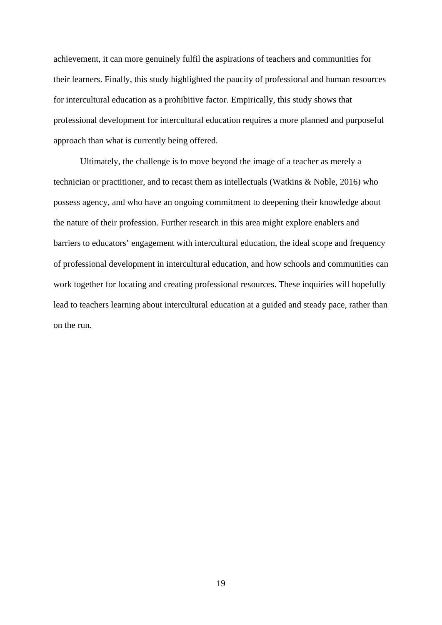achievement, it can more genuinely fulfil the aspirations of teachers and communities for their learners. Finally, this study highlighted the paucity of professional and human resources for intercultural education as a prohibitive factor. Empirically, this study shows that professional development for intercultural education requires a more planned and purposeful approach than what is currently being offered.

Ultimately, the challenge is to move beyond the image of a teacher as merely a technician or practitioner, and to recast them as intellectuals (Watkins & Noble, 2016) who possess agency, and who have an ongoing commitment to deepening their knowledge about the nature of their profession. Further research in this area might explore enablers and barriers to educators' engagement with intercultural education, the ideal scope and frequency of professional development in intercultural education, and how schools and communities can work together for locating and creating professional resources. These inquiries will hopefully lead to teachers learning about intercultural education at a guided and steady pace, rather than on the run.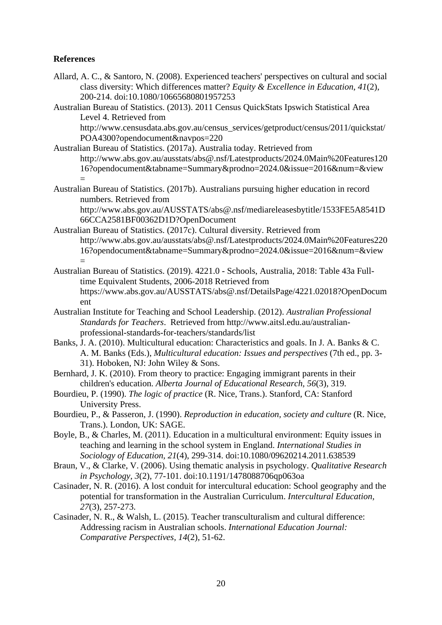## **References**

- Allard, A. C., & Santoro, N. (2008). Experienced teachers' perspectives on cultural and social class diversity: Which differences matter? *Equity & Excellence in Education, 41*(2), 200-214. doi:10.1080/10665680801957253
- Australian Bureau of Statistics. (2013). 2011 Census QuickStats Ipswich Statistical Area Level 4. Retrieved from

http://www.censusdata.abs.gov.au/census\_services/getproduct/census/2011/quickstat/ POA4300?opendocument&navpos=220

- Australian Bureau of Statistics. (2017a). Australia today. Retrieved from http://www.abs.gov.au/ausstats/abs@.nsf/Latestproducts/2024.0Main%20Features120 16?opendocument&tabname=Summary&prodno=2024.0&issue=2016&num=&view =
- Australian Bureau of Statistics. (2017b). Australians pursuing higher education in record numbers. Retrieved from http://www.abs.gov.au/AUSSTATS/abs@.nsf/mediareleasesbytitle/1533FE5A8541D

66CCA2581BF00362D1D?OpenDocument

- Australian Bureau of Statistics. (2017c). Cultural diversity. Retrieved from http://www.abs.gov.au/ausstats/abs@.nsf/Latestproducts/2024.0Main%20Features220 16?opendocument&tabname=Summary&prodno=2024.0&issue=2016&num=&view =
- Australian Bureau of Statistics. (2019). 4221.0 Schools, Australia, 2018: Table 43a Fulltime Equivalent Students, 2006-2018 Retrieved from https://www.abs.gov.au/AUSSTATS/abs@.nsf/DetailsPage/4221.02018?OpenDocum ent
- Australian Institute for Teaching and School Leadership. (2012). *Australian Professional Standards for Teachers*. Retrieved from http://www.aitsl.edu.au/australianprofessional-standards-for-teachers/standards/list
- Banks, J. A. (2010). Multicultural education: Characteristics and goals. In J. A. Banks & C. A. M. Banks (Eds.), *Multicultural education: Issues and perspectives* (7th ed., pp. 3- 31). Hoboken, NJ: John Wiley & Sons.
- Bernhard, J. K. (2010). From theory to practice: Engaging immigrant parents in their children's education. *Alberta Journal of Educational Research, 56*(3), 319.
- Bourdieu, P. (1990). *The logic of practice* (R. Nice, Trans.). Stanford, CA: Stanford University Press.
- Bourdieu, P., & Passeron, J. (1990). *Reproduction in education, society and culture* (R. Nice, Trans.). London, UK: SAGE.
- Boyle, B., & Charles, M. (2011). Education in a multicultural environment: Equity issues in teaching and learning in the school system in England. *International Studies in Sociology of Education, 21*(4), 299-314. doi:10.1080/09620214.2011.638539
- Braun, V., & Clarke, V. (2006). Using thematic analysis in psychology. *Qualitative Research in Psychology, 3*(2), 77-101. doi:10.1191/1478088706qp063oa
- Casinader, N. R. (2016). A lost conduit for intercultural education: School geography and the potential for transformation in the Australian Curriculum. *Intercultural Education, 27*(3), 257-273.
- Casinader, N. R., & Walsh, L. (2015). Teacher transculturalism and cultural difference: Addressing racism in Australian schools. *International Education Journal: Comparative Perspectives, 14*(2), 51-62.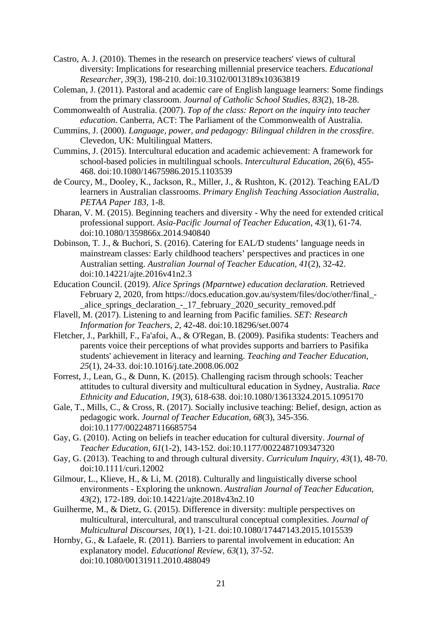- Castro, A. J. (2010). Themes in the research on preservice teachers' views of cultural diversity: Implications for researching millennial preservice teachers. *Educational Researcher, 39*(3), 198-210. doi:10.3102/0013189x10363819
- Coleman, J. (2011). Pastoral and academic care of English language learners: Some findings from the primary classroom. *Journal of Catholic School Studies, 83*(2), 18-28.
- Commonwealth of Australia. (2007). *Top of the class: Report on the inquiry into teacher education*. Canberra, ACT: The Parliament of the Commonwealth of Australia.
- Cummins, J. (2000). *Language, power, and pedagogy: Bilingual children in the crossfire*. Clevedon, UK: Multilingual Matters.
- Cummins, J. (2015). Intercultural education and academic achievement: A framework for school-based policies in multilingual schools. *Intercultural Education*, *26*(6), 455- 468. doi:10.1080/14675986.2015.1103539
- de Courcy, M., Dooley, K., Jackson, R., Miller, J., & Rushton, K. (2012). Teaching EAL/D learners in Australian classrooms. *Primary English Teaching Association Australia, PETAA Paper 183*, 1-8.
- Dharan, V. M. (2015). Beginning teachers and diversity Why the need for extended critical professional support. *Asia-Pacific Journal of Teacher Education, 43*(1), 61-74. doi:10.1080/1359866x.2014.940840
- Dobinson, T. J., & Buchori, S. (2016). Catering for EAL/D students' language needs in mainstream classes: Early childhood teachers' perspectives and practices in one Australian setting. *Australian Journal of Teacher Education, 41*(2), 32-42. doi:10.14221/ajte.2016v41n2.3
- Education Council. (2019). *Alice Springs (Mparntwe) education declaration.* Retrieved February 2, 2020, from https://docs.education.gov.au/system/files/doc/other/final\_- \_alice\_springs\_declaration\_-\_17\_february\_2020\_security\_removed.pdf
- Flavell, M. (2017). Listening to and learning from Pacific families. *SET: Research Information for Teachers, 2*, 42-48. doi:10.18296/set.0074
- Fletcher, J., Parkhill, F., Fa'afoi, A., & O'Regan, B. (2009). Pasifika students: Teachers and parents voice their perceptions of what provides supports and barriers to Pasifika students' achievement in literacy and learning. *Teaching and Teacher Education, 25*(1), 24-33. doi:10.1016/j.tate.2008.06.002
- Forrest, J., Lean, G., & Dunn, K. (2015). Challenging racism through schools: Teacher attitudes to cultural diversity and multicultural education in Sydney, Australia. *Race Ethnicity and Education, 19*(3), 618-638. doi:10.1080/13613324.2015.1095170
- Gale, T., Mills, C., & Cross, R. (2017). Socially inclusive teaching: Belief, design, action as pedagogic work. *Journal of Teacher Education, 68*(3), 345-356. doi:10.1177/0022487116685754
- Gay, G. (2010). Acting on beliefs in teacher education for cultural diversity. *Journal of Teacher Education, 61*(1-2), 143-152. doi:10.1177/0022487109347320
- Gay, G. (2013). Teaching to and through cultural diversity. *Curriculum Inquiry, 43*(1), 48-70. doi:10.1111/curi.12002
- Gilmour, L., Klieve, H., & Li, M. (2018). Culturally and linguistically diverse school environments - Exploring the unknown. *Australian Journal of Teacher Education, 43*(2), 172-189. doi:10.14221/ajte.2018v43n2.10
- Guilherme, M., & Dietz, G. (2015). Difference in diversity: multiple perspectives on multicultural, intercultural, and transcultural conceptual complexities. *Journal of Multicultural Discourses, 10*(1), 1-21. doi:10.1080/17447143.2015.1015539
- Hornby, G., & Lafaele, R. (2011). Barriers to parental involvement in education: An explanatory model. *Educational Review, 63*(1), 37-52. doi:10.1080/00131911.2010.488049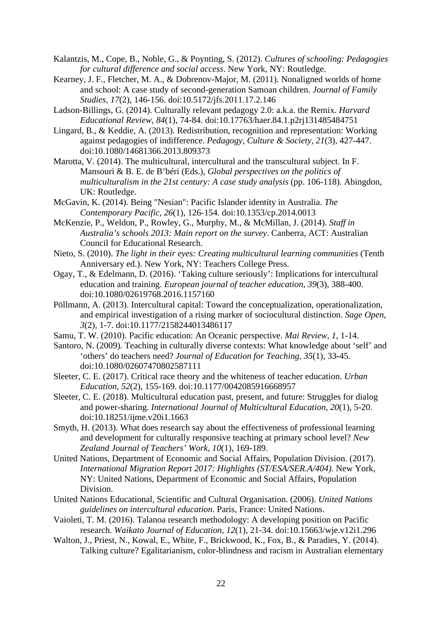Kalantzis, M., Cope, B., Noble, G., & Poynting, S. (2012). *Cultures of schooling: Pedagogies for cultural difference and social access*. New York, NY: Routledge.

- Kearney, J. F., Fletcher, M. A., & Dobrenov-Major, M. (2011). Nonaligned worlds of home and school: A case study of second-generation Samoan children. *Journal of Family Studies, 17*(2), 146-156. doi:10.5172/jfs.2011.17.2.146
- Ladson-Billings, G. (2014). Culturally relevant pedagogy 2.0: a.k.a. the Remix. *Harvard Educational Review, 84*(1), 74-84. doi:10.17763/haer.84.1.p2rj131485484751
- Lingard, B., & Keddie, A. (2013). Redistribution, recognition and representation: Working against pedagogies of indifference. *Pedagogy, Culture & Society, 21*(3), 427-447. doi:10.1080/14681366.2013.809373
- Marotta, V. (2014). The multicultural, intercultural and the transcultural subject. In F. Mansouri & B. E. de B'béri (Eds.), *Global perspectives on the politics of multiculturalism in the 21st century: A case study analysis* (pp. 106-118). Abingdon, UK: Routledge.
- McGavin, K. (2014). Being "Nesian": Pacific Islander identity in Australia. *The Contemporary Pacific, 26*(1), 126-154. doi:10.1353/cp.2014.0013
- McKenzie, P., Weldon, P., Rowley, G., Murphy, M., & McMillan, J. (2014). *Staff in Australia's schools 2013: Main report on the survey*. Canberra, ACT: Australian Council for Educational Research.
- Nieto, S. (2010). *The light in their eyes: Creating multicultural learning communities* (Tenth Anniversary ed.). New York, NY: Teachers College Press.
- Ogay, T., & Edelmann, D. (2016). 'Taking culture seriously': Implications for intercultural education and training. *European journal of teacher education*, *39*(3), 388-400. doi:10.1080/02619768.2016.1157160
- Pöllmann, A. (2013). Intercultural capital: Toward the conceptualization, operationalization, and empirical investigation of a rising marker of sociocultural distinction. *Sage Open*, *3*(2), 1-7. doi:10.1177/2158244013486117
- Samu, T. W. (2010). Pacific education: An Oceanic perspective. *Mai Review, 1*, 1-14.
- Santoro, N. (2009). Teaching in culturally diverse contexts: What knowledge about 'self' and 'others' do teachers need? *Journal of Education for Teaching, 35*(1), 33-45. doi:10.1080/02607470802587111
- Sleeter, C. E. (2017). Critical race theory and the whiteness of teacher education. *Urban Education, 52*(2), 155-169. doi:10.1177/0042085916668957
- Sleeter, C. E. (2018). Multicultural education past, present, and future: Struggles for dialog and power-sharing. *International Journal of Multicultural Education, 20*(1), 5-20. doi:10.18251/ijme.v20i1.1663
- Smyth, H. (2013). What does research say about the effectiveness of professional learning and development for culturally responsive teaching at primary school level? *New Zealand Journal of Teachers' Work, 10*(1), 169-189.
- United Nations, Department of Economic and Social Affairs, Population Division. (2017). *International Migration Report 2017: Highlights (ST/ESA/SER.A/404)*. New York, NY: United Nations, Department of Economic and Social Affairs, Population Division.
- United Nations Educational, Scientific and Cultural Organisation. (2006). *United Nations guidelines on intercultural education*. Paris, France: United Nations.
- Vaioleti, T. M. (2016). Talanoa research methodology: A developing position on Pacific research. *Waikato Journal of Education, 12*(1), 21-34. doi:10.15663/wje.v12i1.296
- Walton, J., Priest, N., Kowal, E., White, F., Brickwood, K., Fox, B., & Paradies, Y. (2014). Talking culture? Egalitarianism, color-blindness and racism in Australian elementary